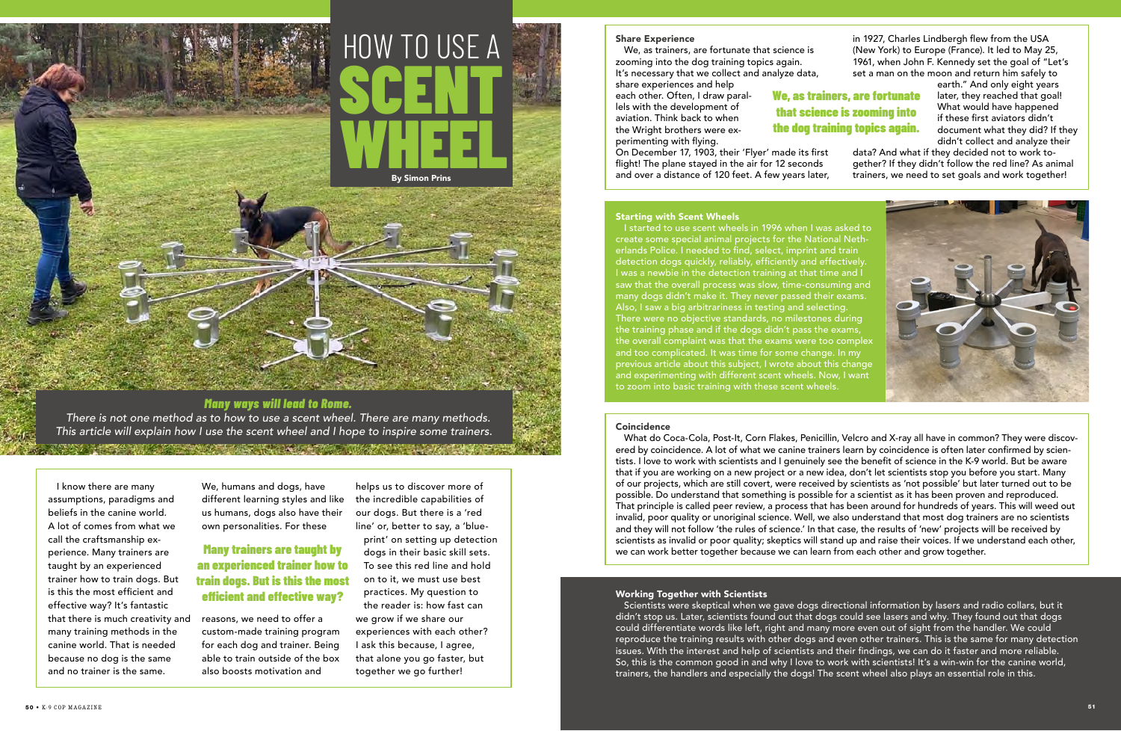## *Many ways will lead to Rome.*

*There is not one method as to how to use a scent wheel. There are many methods. This article will explain how I use the scent wheel and I hope to inspire some trainers.* 

#### Share Experience

We, as trainers, are fortunate that science is zooming into the dog training topics again. It's necessary that we collect and analyze data,

share experiences and help each other. Often, I draw parallels with the development of aviation. Think back to when the Wright brothers were experimenting with flying.

On December 17, 1903, their 'Flyer' made its first flight! The plane stayed in the air for 12 seconds and over a distance of 120 feet. A few years later, in 1927, Charles Lindbergh flew from the USA (New York) to Europe (France). It led to May 25, 1961, when John F. Kennedy set the goal of "Let's set a man on the moon and return him safely to

> earth." And only eight years later, they reached that goal! What would have happened if these first aviators didn't document what they did? If they didn't collect and analyze their

data? And what if they decided not to work together? If they didn't follow the red line? As animal trainers, we need to set goals and work together!



# HOW TO USE A SCENT WHEEL By Simon Prins

I know there are many assumptions, paradigms and beliefs in the canine world. A lot of comes from what we call the craftsmanship experience. Many trainers are taught by an experienced trainer how to train dogs. But is this the most efficient and effective way? It's fantastic that there is much creativity and many training methods in the canine world. That is needed because no dog is the same and no trainer is the same.

We, humans and dogs, have different learning styles and like us humans, dogs also have their own personalities. For these

reasons, we need to offer a custom-made training program for each dog and trainer. Being able to train outside of the box also boosts motivation and

helps us to discover more of the incredible capabilities of our dogs. But there is a 'red line' or, better to say, a 'blue-

print' on setting up detection dogs in their basic skill sets. To see this red line and hold on to it, we must use best practices. My question to the reader is: how fast can we grow if we share our experiences with each other? I ask this because, I agree, that alone you go faster, but together we go further!

## Many trainers are taught by an experienced trainer how to train dogs. But is this the most efficient and effective way?

What do Coca-Cola, Post-It, Corn Flakes, Penicillin, Velcro and X-ray all have in common? They were discovered by coincidence. A lot of what we canine trainers learn by coincidence is often later confirmed by scientists. I love to work with scientists and I genuinely see the benefit of science in the K-9 world. But be aware that if you are working on a new project or a new idea, don't let scientists stop you before you start. Many of our projects, which are still covert, were received by scientists as 'not possible' but later turned out to be possible. Do understand that something is possible for a scientist as it has been proven and reproduced. That principle is called peer review, a process that has been around for hundreds of years. This will weed out invalid, poor quality or unoriginal science. Well, we also understand that most dog trainers are no scientists and they will not follow 'the rules of science.' In that case, the results of 'new' projects will be received by scientists as invalid or poor quality; skeptics will stand up and raise their voices. If we understand each other, we can work better together because we can learn from each other and grow together.

#### Starting with Scent Wheels

I started to use scent wheels in 1996 when I was asked to create some special animal projects for the National Netherlands Police. I needed to find, select, imprint and train detection dogs quickly, reliably, efficiently and effectively. I was a newbie in the detection training at that time and I saw that the overall process was slow, time-consuming and many dogs didn't make it. They never passed their exams. Also, I saw a big arbitrariness in testing and selecting. There were no objective standards, no milestones during the training phase and if the dogs didn't pass the exams, the overall complaint was that the exams were too complex and too complicated. It was time for some change. In my previous article about this subject, I wrote about this change and experimenting with different scent wheels. Now, I want to zoom into basic training with these scent wheels.

#### **Coincidence**

#### Working Together with Scientists

Scientists were skeptical when we gave dogs directional information by lasers and radio collars, but it didn't stop us. Later, scientists found out that dogs could see lasers and why. They found out that dogs could differentiate words like left, right and many more even out of sight from the handler. We could reproduce the training results with other dogs and even other trainers. This is the same for many detection issues. With the interest and help of scientists and their findings, we can do it faster and more reliable. So, this is the common good in and why I love to work with scientists! It's a win-win for the canine world, trainers, the handlers and especially the dogs! The scent wheel also plays an essential role in this.

## We, as trainers, are fortunate that science is zooming into the dog training topics again.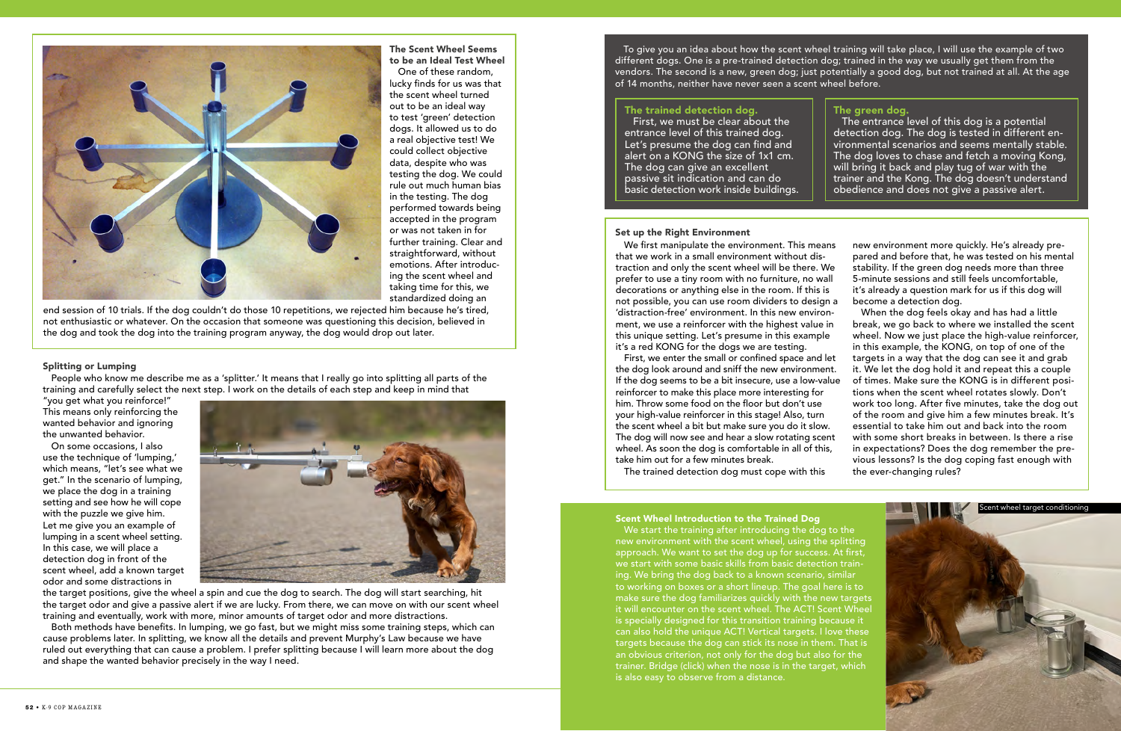

The Scent Wheel Seems to be an Ideal Test Wheel

One of these random, lucky finds for us was that the scent wheel turned out to be an ideal way to test 'green' detection dogs. It allowed us to do a real objective test! We could collect objective data, despite who was testing the dog. We could rule out much human bias in the testing. The dog performed towards being accepted in the program or was not taken in for further training. Clear and straightforward, without emotions. After introducing the scent wheel and taking time for this, we standardized doing an

end session of 10 trials. If the dog couldn't do those 10 repetitions, we rejected him because he's tired, not enthusiastic or whatever. On the occasion that someone was questioning this decision, believed in the dog and took the dog into the training program anyway, the dog would drop out later.

#### Splitting or Lumping

People who know me describe me as a 'splitter.' It means that I really go into splitting all parts of the training and carefully select the next step. I work on the details of each step and keep in mind that

"you get what you reinforce!" This means only reinforcing the wanted behavior and ignoring the unwanted behavior.

On some occasions, I also use the technique of 'lumping,' which means, "let's see what we get." In the scenario of lumping, we place the dog in a training setting and see how he will cope with the puzzle we give him. Let me give you an example of lumping in a scent wheel setting. In this case, we will place a detection dog in front of the scent wheel, add a known target odor and some distractions in



the target positions, give the wheel a spin and cue the dog to search. The dog will start searching, hit the target odor and give a passive alert if we are lucky. From there, we can move on with our scent wheel training and eventually, work with more, minor amounts of target odor and more distractions.

Both methods have benefits. In lumping, we go fast, but we might miss some training steps, which can cause problems later. In splitting, we know all the details and prevent Murphy's Law because we have ruled out everything that can cause a problem. I prefer splitting because I will learn more about the dog and shape the wanted behavior precisely in the way I need.

To give you an idea about how the scent wheel training will take place, I will use the example of two different dogs. One is a pre-trained detection dog; trained in the way we usually get them from the vendors. The second is a new, green dog; just potentially a good dog, but not trained at all. At the age of 14 months, neither have never seen a scent wheel before.

### The trained detection dog.

First, we must be clear about the entrance level of this trained dog. Let's presume the dog can find and alert on a KONG the size of 1x1 cm. The dog can give an excellent passive sit indication and can do basic detection work inside buildings.

We start the training after introducing the dog to the new environment with the scent wheel, using the splitting approach. We want to set the dog up for success. At first, we start with some basic skills from basic detection training. We bring the dog back to a known scenario, similar to working on boxes or a short lineup. The goal here is to make sure the dog familiarizes quickly with the new targets it will encounter on the scent wheel. The ACT! Scent Wheel is specially designed for this transition training because it can also hold the unique ACT! Vertical targets. I love these targets because the dog can stick its nose in them. That is an obvious criterion, not only for the dog but also for the trainer. Bridge (click) when the nose is in the target, which is also easy to observe from a distance.

The green dog. The entrance level of this dog is a potential detection dog. The dog is tested in different environmental scenarios and seems mentally stable. The dog loves to chase and fetch a moving Kong, will bring it back and play tug of war with the trainer and the Kong. The dog doesn't understand obedience and does not give a passive alert.



We first manipulate the environment. This means that we work in a small environment without distraction and only the scent wheel will be there. We prefer to use a tiny room with no furniture, no wall decorations or anything else in the room. If this is not possible, you can use room dividers to design a 'distraction-free' environment. In this new environment, we use a reinforcer with the highest value in this unique setting. Let's presume in this example it's a red KONG for the dogs we are testing.

First, we enter the small or confined space and let the dog look around and sniff the new environment. If the dog seems to be a bit insecure, use a low-value reinforcer to make this place more interesting for him. Throw some food on the floor but don't use your high-value reinforcer in this stage! Also, turn the scent wheel a bit but make sure you do it slow. The dog will now see and hear a slow rotating scent wheel. As soon the dog is comfortable in all of this, take him out for a few minutes break.

The trained detection dog must cope with this

new environment more quickly. He's already prepared and before that, he was tested on his mental stability. If the green dog needs more than three 5-minute sessions and still feels uncomfortable, it's already a question mark for us if this dog will become a detection dog.

When the dog feels okay and has had a little break, we go back to where we installed the scent wheel. Now we just place the high-value reinforcer, in this example, the KONG, on top of one of the targets in a way that the dog can see it and grab it. We let the dog hold it and repeat this a couple of times. Make sure the KONG is in different positions when the scent wheel rotates slowly. Don't work too long. After five minutes, take the dog out of the room and give him a few minutes break. It's essential to take him out and back into the room with some short breaks in between. Is there a rise in expectations? Does the dog remember the previous lessons? Is the dog coping fast enough with the ever-changing rules?

#### Set up the Right Environment

#### Scent Wheel Introduction to the Trained Dog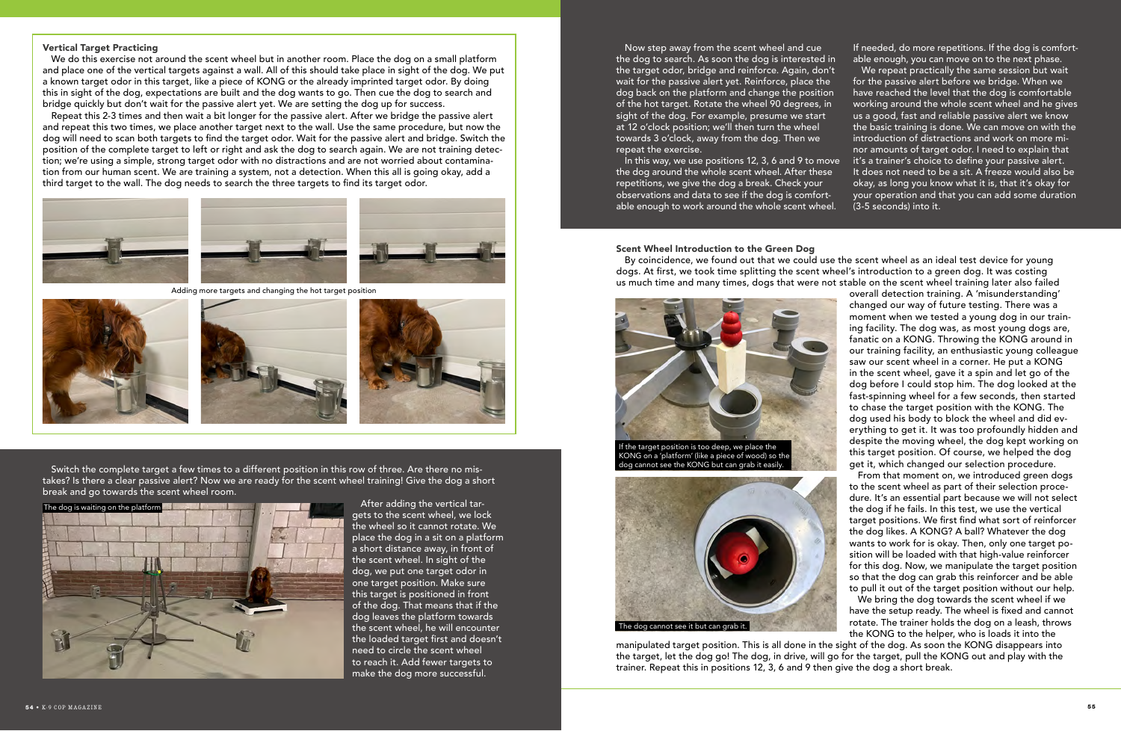### Vertical Target Practicing

We do this exercise not around the scent wheel but in another room. Place the dog on a small platform and place one of the vertical targets against a wall. All of this should take place in sight of the dog. We put a known target odor in this target, like a piece of KONG or the already imprinted target odor. By doing this in sight of the dog, expectations are built and the dog wants to go. Then cue the dog to search and bridge quickly but don't wait for the passive alert yet. We are setting the dog up for success.

Repeat this 2-3 times and then wait a bit longer for the passive alert. After we bridge the passive alert and repeat this two times, we place another target next to the wall. Use the same procedure, but now the dog will need to scan both targets to find the target odor. Wait for the passive alert and bridge. Switch the position of the complete target to left or right and ask the dog to search again. We are not training detection; we're using a simple, strong target odor with no distractions and are not worried about contamination from our human scent. We are training a system, not a detection. When this all is going okay, add a third target to the wall. The dog needs to search the three targets to find its target odor.





#### Scent Wheel Introduction to the Green Dog

We bring the dog towards the scent wheel if we have the setup ready. The wheel is fixed and cannot rotate. The trainer holds the dog on a leash, throws the KONG to the helper, who is loads it into the manipulated target position. This is all done in the sight of the dog. As soon the KONG disappears into

From that moment on, we introduced green dogs to the scent wheel as part of their selection procedure. It's an essential part because we will not select the dog if he fails. In this test, we use the vertical target positions. We first find what sort of reinforcer the dog likes. A KONG? A ball? Whatever the dog wants to work for is okay. Then, only one target position will be loaded with that high-value reinforcer for this dog. Now, we manipulate the target position so that the dog can grab this reinforcer and be able to pull it out of the target position without our help.

We repeat practically the same session but wait for the passive alert before we bridge. When we have reached the level that the dog is comfortable working around the whole scent wheel and he gives us a good, fast and reliable passive alert we know the basic training is done. We can move on with the introduction of distractions and work on more minor amounts of target odor. I need to explain that it's a trainer's choice to define your passive alert. It does not need to be a sit. A freeze would also be okay, as long you know what it is, that it's okay for your operation and that you can add some duration (3-5 seconds) into it.



Adding more targets and changing the hot target position







By coincidence, we found out that we could use the scent wheel as an ideal test device for young dogs. At first, we took time splitting the scent wheel's introduction to a green dog. It was costing us much time and many times, dogs that were not stable on the scent wheel training later also failed overall detection training. A 'misunderstanding' changed our way of future testing. There was a moment when we tested a young dog in our training facility. The dog was, as most young dogs are, fanatic on a KONG. Throwing the KONG around in our training facility, an enthusiastic young colleague saw our scent wheel in a corner. He put a KONG in the scent wheel, gave it a spin and let go of the dog before I could stop him. The dog looked at the fast-spinning wheel for a few seconds, then started to chase the target position with the KONG. The dog used his body to block the wheel and did everything to get it. It was too profoundly hidden and despite the moving wheel, the dog kept working on this target position. Of course, we helped the dog get it, which changed our selection procedure. dog cannot see the KONG but can grab it easily.

Switch the complete target a few times to a different position in this row of three. Are there no mistakes? Is there a clear passive alert? Now we are ready for the scent wheel training! Give the dog a short break and go towards the scent wheel room.

> After adding the vertical targets to the scent wheel, we lock the wheel so it cannot rotate. We place the dog in a sit on a platform a short distance away, in front of the scent wheel. In sight of the dog, we put one target odor in one target position. Make sure this target is positioned in front of the dog. That means that if the dog leaves the platform towards the scent wheel, he will encounter the loaded target first and doesn't need to circle the scent wheel to reach it. Add fewer targets to make the dog more successful.



Now step away from the scent wheel and cue the dog to search. As soon the dog is interested in the target odor, bridge and reinforce. Again, don't wait for the passive alert yet. Reinforce, place the dog back on the platform and change the position of the hot target. Rotate the wheel 90 degrees, in sight of the dog. For example, presume we start at 12 o'clock position; we'll then turn the wheel towards 3 o'clock, away from the dog. Then we repeat the exercise.



the target, let the dog go! The dog, in drive, will go for the target, pull the KONG out and play with the trainer. Repeat this in positions 12, 3, 6 and 9 then give the dog a short break.

In this way, we use positions 12, 3, 6 and 9 to move the dog around the whole scent wheel. After these repetitions, we give the dog a break. Check your observations and data to see if the dog is comfortable enough to work around the whole scent wheel.

If needed, do more repetitions. If the dog is comfortable enough, you can move on to the next phase.